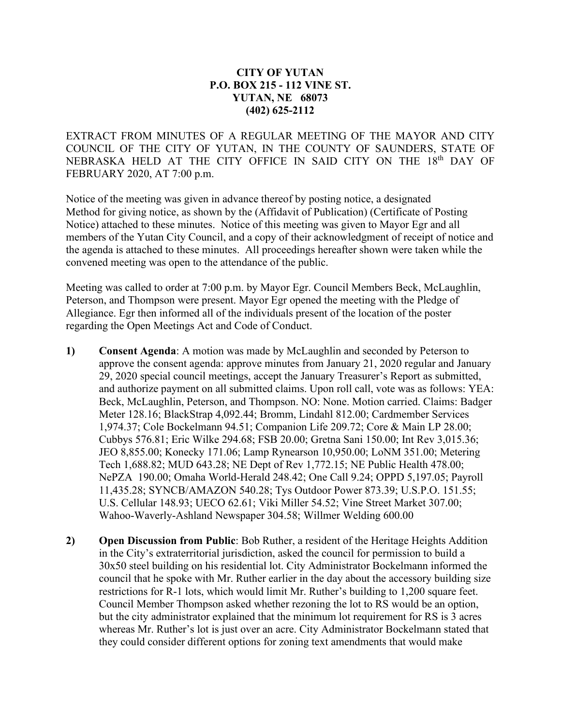### **CITY OF YUTAN P.O. BOX 215 - 112 VINE ST. YUTAN, NE 68073 (402) 625-2112**

EXTRACT FROM MINUTES OF A REGULAR MEETING OF THE MAYOR AND CITY COUNCIL OF THE CITY OF YUTAN, IN THE COUNTY OF SAUNDERS, STATE OF NEBRASKA HELD AT THE CITY OFFICE IN SAID CITY ON THE 18<sup>th</sup> DAY OF FEBRUARY 2020, AT 7:00 p.m.

Notice of the meeting was given in advance thereof by posting notice, a designated Method for giving notice, as shown by the (Affidavit of Publication) (Certificate of Posting Notice) attached to these minutes. Notice of this meeting was given to Mayor Egr and all members of the Yutan City Council, and a copy of their acknowledgment of receipt of notice and the agenda is attached to these minutes. All proceedings hereafter shown were taken while the convened meeting was open to the attendance of the public.

Meeting was called to order at 7:00 p.m. by Mayor Egr. Council Members Beck, McLaughlin, Peterson, and Thompson were present. Mayor Egr opened the meeting with the Pledge of Allegiance. Egr then informed all of the individuals present of the location of the poster regarding the Open Meetings Act and Code of Conduct.

- **1) Consent Agenda**: A motion was made by McLaughlin and seconded by Peterson to approve the consent agenda: approve minutes from January 21, 2020 regular and January 29, 2020 special council meetings, accept the January Treasurer's Report as submitted, and authorize payment on all submitted claims. Upon roll call, vote was as follows: YEA: Beck, McLaughlin, Peterson, and Thompson. NO: None. Motion carried. Claims: Badger Meter 128.16; BlackStrap 4,092.44; Bromm, Lindahl 812.00; Cardmember Services 1,974.37; Cole Bockelmann 94.51; Companion Life 209.72; Core & Main LP 28.00; Cubbys 576.81; Eric Wilke 294.68; FSB 20.00; Gretna Sani 150.00; Int Rev 3,015.36; JEO 8,855.00; Konecky 171.06; Lamp Rynearson 10,950.00; LoNM 351.00; Metering Tech 1,688.82; MUD 643.28; NE Dept of Rev 1,772.15; NE Public Health 478.00; NePZA 190.00; Omaha World-Herald 248.42; One Call 9.24; OPPD 5,197.05; Payroll 11,435.28; SYNCB/AMAZON 540.28; Tys Outdoor Power 873.39; U.S.P.O. 151.55; U.S. Cellular 148.93; UECO 62.61; Viki Miller 54.52; Vine Street Market 307.00; Wahoo-Waverly-Ashland Newspaper 304.58; Willmer Welding 600.00
- **2) Open Discussion from Public**: Bob Ruther, a resident of the Heritage Heights Addition in the City's extraterritorial jurisdiction, asked the council for permission to build a 30x50 steel building on his residential lot. City Administrator Bockelmann informed the council that he spoke with Mr. Ruther earlier in the day about the accessory building size restrictions for R-1 lots, which would limit Mr. Ruther's building to 1,200 square feet. Council Member Thompson asked whether rezoning the lot to RS would be an option, but the city administrator explained that the minimum lot requirement for RS is 3 acres whereas Mr. Ruther's lot is just over an acre. City Administrator Bockelmann stated that they could consider different options for zoning text amendments that would make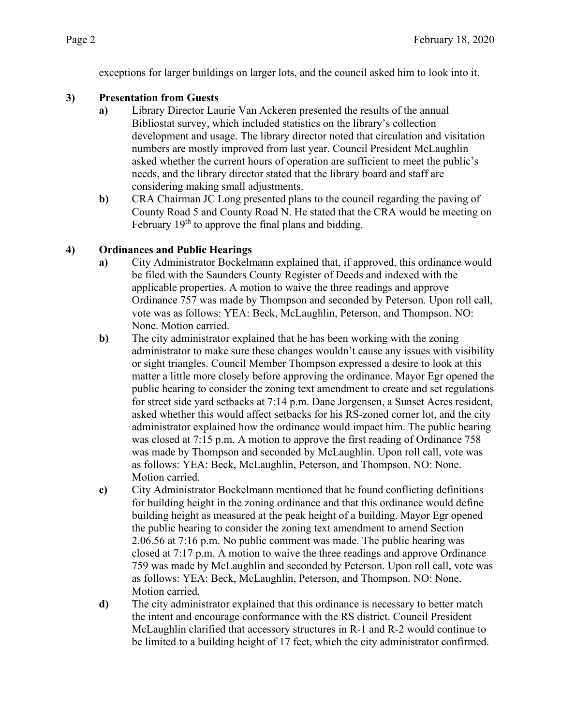exceptions for larger buildings on larger lots, and the council asked him to look into it.

## **3) Presentation from Guests**

- **a)** Library Director Laurie Van Ackeren presented the results of the annual Bibliostat survey, which included statistics on the library's collection development and usage. The library director noted that circulation and visitation numbers are mostly improved from last year. Council President McLaughlin asked whether the current hours of operation are sufficient to meet the public's needs, and the library director stated that the library board and staff are considering making small adjustments.
- **b)** CRA Chairman JC Long presented plans to the council regarding the paving of County Road 5 and County Road N. He stated that the CRA would be meeting on February  $19<sup>th</sup>$  to approve the final plans and bidding.

# **4) Ordinances and Public Hearings**

- **a)** City Administrator Bockelmann explained that, if approved, this ordinance would be filed with the Saunders County Register of Deeds and indexed with the applicable properties. A motion to waive the three readings and approve Ordinance 757 was made by Thompson and seconded by Peterson. Upon roll call, vote was as follows: YEA: Beck, McLaughlin, Peterson, and Thompson. NO: None. Motion carried.
- **b)** The city administrator explained that he has been working with the zoning administrator to make sure these changes wouldn't cause any issues with visibility or sight triangles. Council Member Thompson expressed a desire to look at this matter a little more closely before approving the ordinance. Mayor Egr opened the public hearing to consider the zoning text amendment to create and set regulations for street side yard setbacks at 7:14 p.m. Dane Jorgensen, a Sunset Acres resident, asked whether this would affect setbacks for his RS-zoned corner lot, and the city administrator explained how the ordinance would impact him. The public hearing was closed at 7:15 p.m. A motion to approve the first reading of Ordinance 758 was made by Thompson and seconded by McLaughlin. Upon roll call, vote was as follows: YEA: Beck, McLaughlin, Peterson, and Thompson. NO: None. Motion carried.
- **c)** City Administrator Bockelmann mentioned that he found conflicting definitions for building height in the zoning ordinance and that this ordinance would define building height as measured at the peak height of a building. Mayor Egr opened the public hearing to consider the zoning text amendment to amend Section 2.06.56 at 7:16 p.m. No public comment was made. The public hearing was closed at 7:17 p.m. A motion to waive the three readings and approve Ordinance 759 was made by McLaughlin and seconded by Peterson. Upon roll call, vote was as follows: YEA: Beck, McLaughlin, Peterson, and Thompson. NO: None. Motion carried.
- **d)** The city administrator explained that this ordinance is necessary to better match the intent and encourage conformance with the RS district. Council President McLaughlin clarified that accessory structures in R-1 and R-2 would continue to be limited to a building height of 17 feet, which the city administrator confirmed.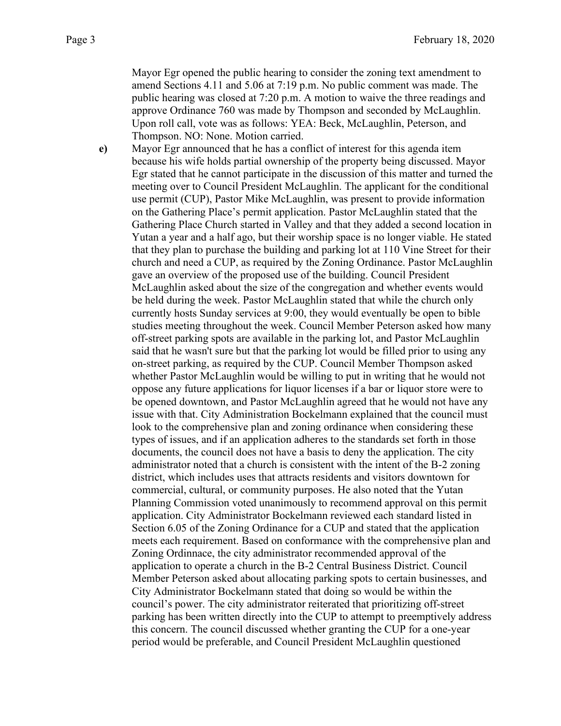Mayor Egr opened the public hearing to consider the zoning text amendment to amend Sections 4.11 and 5.06 at 7:19 p.m. No public comment was made. The public hearing was closed at 7:20 p.m. A motion to waive the three readings and approve Ordinance 760 was made by Thompson and seconded by McLaughlin. Upon roll call, vote was as follows: YEA: Beck, McLaughlin, Peterson, and Thompson. NO: None. Motion carried.

**e)** Mayor Egr announced that he has a conflict of interest for this agenda item because his wife holds partial ownership of the property being discussed. Mayor Egr stated that he cannot participate in the discussion of this matter and turned the meeting over to Council President McLaughlin. The applicant for the conditional use permit (CUP), Pastor Mike McLaughlin, was present to provide information on the Gathering Place's permit application. Pastor McLaughlin stated that the Gathering Place Church started in Valley and that they added a second location in Yutan a year and a half ago, but their worship space is no longer viable. He stated that they plan to purchase the building and parking lot at 110 Vine Street for their church and need a CUP, as required by the Zoning Ordinance. Pastor McLaughlin gave an overview of the proposed use of the building. Council President McLaughlin asked about the size of the congregation and whether events would be held during the week. Pastor McLaughlin stated that while the church only currently hosts Sunday services at 9:00, they would eventually be open to bible studies meeting throughout the week. Council Member Peterson asked how many off-street parking spots are available in the parking lot, and Pastor McLaughlin said that he wasn't sure but that the parking lot would be filled prior to using any on-street parking, as required by the CUP. Council Member Thompson asked whether Pastor McLaughlin would be willing to put in writing that he would not oppose any future applications for liquor licenses if a bar or liquor store were to be opened downtown, and Pastor McLaughlin agreed that he would not have any issue with that. City Administration Bockelmann explained that the council must look to the comprehensive plan and zoning ordinance when considering these types of issues, and if an application adheres to the standards set forth in those documents, the council does not have a basis to deny the application. The city administrator noted that a church is consistent with the intent of the B-2 zoning district, which includes uses that attracts residents and visitors downtown for commercial, cultural, or community purposes. He also noted that the Yutan Planning Commission voted unanimously to recommend approval on this permit application. City Administrator Bockelmann reviewed each standard listed in Section 6.05 of the Zoning Ordinance for a CUP and stated that the application meets each requirement. Based on conformance with the comprehensive plan and Zoning Ordinnace, the city administrator recommended approval of the application to operate a church in the B-2 Central Business District. Council Member Peterson asked about allocating parking spots to certain businesses, and City Administrator Bockelmann stated that doing so would be within the council's power. The city administrator reiterated that prioritizing off-street parking has been written directly into the CUP to attempt to preemptively address this concern. The council discussed whether granting the CUP for a one-year period would be preferable, and Council President McLaughlin questioned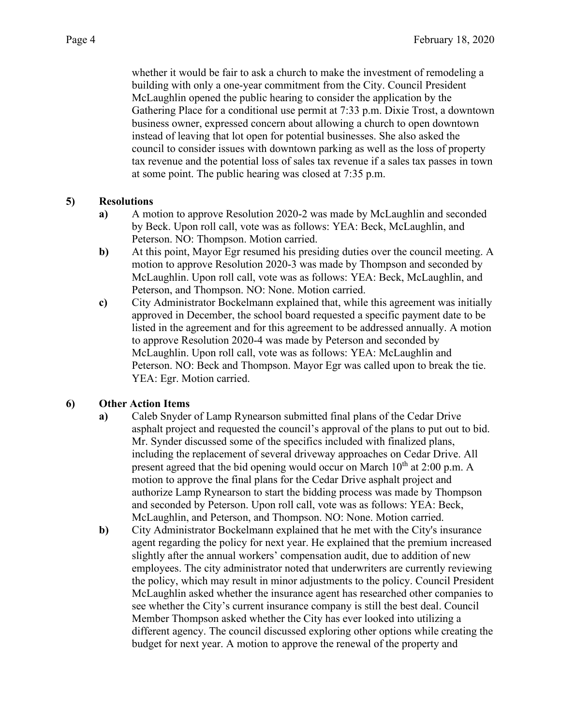whether it would be fair to ask a church to make the investment of remodeling a building with only a one-year commitment from the City. Council President McLaughlin opened the public hearing to consider the application by the Gathering Place for a conditional use permit at 7:33 p.m. Dixie Trost, a downtown business owner, expressed concern about allowing a church to open downtown instead of leaving that lot open for potential businesses. She also asked the council to consider issues with downtown parking as well as the loss of property tax revenue and the potential loss of sales tax revenue if a sales tax passes in town at some point. The public hearing was closed at 7:35 p.m.

### **5) Resolutions**

- **a)** A motion to approve Resolution 2020-2 was made by McLaughlin and seconded by Beck. Upon roll call, vote was as follows: YEA: Beck, McLaughlin, and Peterson. NO: Thompson. Motion carried.
- **b)** At this point, Mayor Egr resumed his presiding duties over the council meeting. A motion to approve Resolution 2020-3 was made by Thompson and seconded by McLaughlin. Upon roll call, vote was as follows: YEA: Beck, McLaughlin, and Peterson, and Thompson. NO: None. Motion carried.
- **c)** City Administrator Bockelmann explained that, while this agreement was initially approved in December, the school board requested a specific payment date to be listed in the agreement and for this agreement to be addressed annually. A motion to approve Resolution 2020-4 was made by Peterson and seconded by McLaughlin. Upon roll call, vote was as follows: YEA: McLaughlin and Peterson. NO: Beck and Thompson. Mayor Egr was called upon to break the tie. YEA: Egr. Motion carried.

### **6) Other Action Items**

- **a)** Caleb Snyder of Lamp Rynearson submitted final plans of the Cedar Drive asphalt project and requested the council's approval of the plans to put out to bid. Mr. Synder discussed some of the specifics included with finalized plans, including the replacement of several driveway approaches on Cedar Drive. All present agreed that the bid opening would occur on March  $10<sup>th</sup>$  at 2:00 p.m. A motion to approve the final plans for the Cedar Drive asphalt project and authorize Lamp Rynearson to start the bidding process was made by Thompson and seconded by Peterson. Upon roll call, vote was as follows: YEA: Beck, McLaughlin, and Peterson, and Thompson. NO: None. Motion carried.
- **b)** City Administrator Bockelmann explained that he met with the City's insurance agent regarding the policy for next year. He explained that the premium increased slightly after the annual workers' compensation audit, due to addition of new employees. The city administrator noted that underwriters are currently reviewing the policy, which may result in minor adjustments to the policy. Council President McLaughlin asked whether the insurance agent has researched other companies to see whether the City's current insurance company is still the best deal. Council Member Thompson asked whether the City has ever looked into utilizing a different agency. The council discussed exploring other options while creating the budget for next year. A motion to approve the renewal of the property and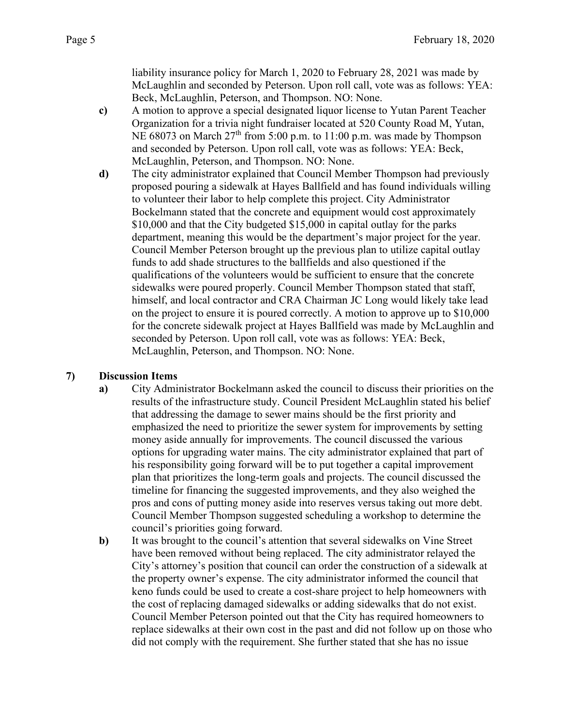liability insurance policy for March 1, 2020 to February 28, 2021 was made by McLaughlin and seconded by Peterson. Upon roll call, vote was as follows: YEA: Beck, McLaughlin, Peterson, and Thompson. NO: None.

- **c)** A motion to approve a special designated liquor license to Yutan Parent Teacher Organization for a trivia night fundraiser located at 520 County Road M, Yutan, NE 68073 on March  $27<sup>th</sup>$  from 5:00 p.m. to 11:00 p.m. was made by Thompson and seconded by Peterson. Upon roll call, vote was as follows: YEA: Beck, McLaughlin, Peterson, and Thompson. NO: None.
- **d)** The city administrator explained that Council Member Thompson had previously proposed pouring a sidewalk at Hayes Ballfield and has found individuals willing to volunteer their labor to help complete this project. City Administrator Bockelmann stated that the concrete and equipment would cost approximately \$10,000 and that the City budgeted \$15,000 in capital outlay for the parks department, meaning this would be the department's major project for the year. Council Member Peterson brought up the previous plan to utilize capital outlay funds to add shade structures to the ballfields and also questioned if the qualifications of the volunteers would be sufficient to ensure that the concrete sidewalks were poured properly. Council Member Thompson stated that staff, himself, and local contractor and CRA Chairman JC Long would likely take lead on the project to ensure it is poured correctly. A motion to approve up to \$10,000 for the concrete sidewalk project at Hayes Ballfield was made by McLaughlin and seconded by Peterson. Upon roll call, vote was as follows: YEA: Beck, McLaughlin, Peterson, and Thompson. NO: None.

#### **7) Discussion Items**

- **a)** City Administrator Bockelmann asked the council to discuss their priorities on the results of the infrastructure study. Council President McLaughlin stated his belief that addressing the damage to sewer mains should be the first priority and emphasized the need to prioritize the sewer system for improvements by setting money aside annually for improvements. The council discussed the various options for upgrading water mains. The city administrator explained that part of his responsibility going forward will be to put together a capital improvement plan that prioritizes the long-term goals and projects. The council discussed the timeline for financing the suggested improvements, and they also weighed the pros and cons of putting money aside into reserves versus taking out more debt. Council Member Thompson suggested scheduling a workshop to determine the council's priorities going forward.
- **b)** It was brought to the council's attention that several sidewalks on Vine Street have been removed without being replaced. The city administrator relayed the City's attorney's position that council can order the construction of a sidewalk at the property owner's expense. The city administrator informed the council that keno funds could be used to create a cost-share project to help homeowners with the cost of replacing damaged sidewalks or adding sidewalks that do not exist. Council Member Peterson pointed out that the City has required homeowners to replace sidewalks at their own cost in the past and did not follow up on those who did not comply with the requirement. She further stated that she has no issue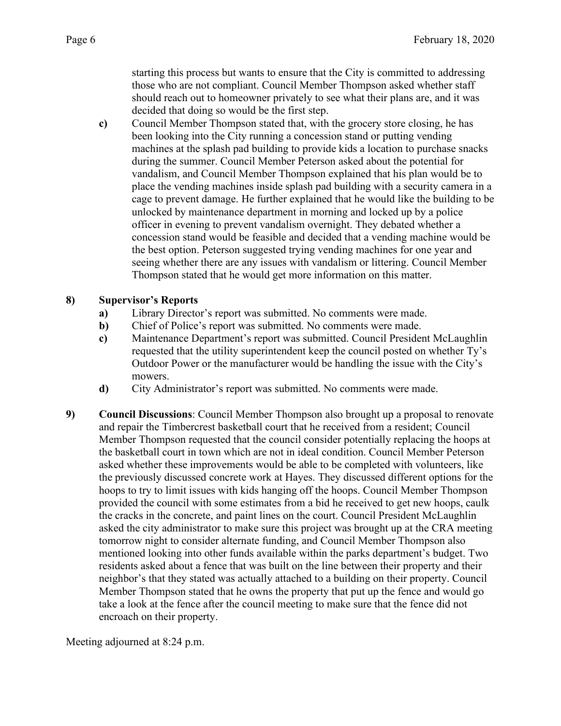starting this process but wants to ensure that the City is committed to addressing those who are not compliant. Council Member Thompson asked whether staff should reach out to homeowner privately to see what their plans are, and it was decided that doing so would be the first step.

**c)** Council Member Thompson stated that, with the grocery store closing, he has been looking into the City running a concession stand or putting vending machines at the splash pad building to provide kids a location to purchase snacks during the summer. Council Member Peterson asked about the potential for vandalism, and Council Member Thompson explained that his plan would be to place the vending machines inside splash pad building with a security camera in a cage to prevent damage. He further explained that he would like the building to be unlocked by maintenance department in morning and locked up by a police officer in evening to prevent vandalism overnight. They debated whether a concession stand would be feasible and decided that a vending machine would be the best option. Peterson suggested trying vending machines for one year and seeing whether there are any issues with vandalism or littering. Council Member Thompson stated that he would get more information on this matter.

### **8) Supervisor's Reports**

- **a)** Library Director's report was submitted. No comments were made.
- **b**) Chief of Police's report was submitted. No comments were made.
- **c)** Maintenance Department's report was submitted. Council President McLaughlin requested that the utility superintendent keep the council posted on whether Ty's Outdoor Power or the manufacturer would be handling the issue with the City's mowers.
- **d)** City Administrator's report was submitted. No comments were made.
- **9) Council Discussions**: Council Member Thompson also brought up a proposal to renovate and repair the Timbercrest basketball court that he received from a resident; Council Member Thompson requested that the council consider potentially replacing the hoops at the basketball court in town which are not in ideal condition. Council Member Peterson asked whether these improvements would be able to be completed with volunteers, like the previously discussed concrete work at Hayes. They discussed different options for the hoops to try to limit issues with kids hanging off the hoops. Council Member Thompson provided the council with some estimates from a bid he received to get new hoops, caulk the cracks in the concrete, and paint lines on the court. Council President McLaughlin asked the city administrator to make sure this project was brought up at the CRA meeting tomorrow night to consider alternate funding, and Council Member Thompson also mentioned looking into other funds available within the parks department's budget. Two residents asked about a fence that was built on the line between their property and their neighbor's that they stated was actually attached to a building on their property. Council Member Thompson stated that he owns the property that put up the fence and would go take a look at the fence after the council meeting to make sure that the fence did not encroach on their property.

Meeting adjourned at 8:24 p.m.